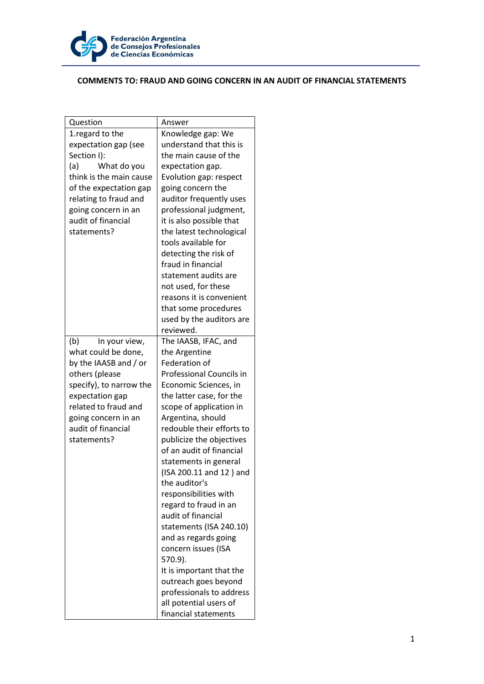

## **COMMENTS TO: FRAUD AND GOING CONCERN IN AN AUDIT OF FINANCIAL STATEMENTS**

| Question                | Answer                    |
|-------------------------|---------------------------|
| 1. regard to the        | Knowledge gap: We         |
| expectation gap (see    | understand that this is   |
| Section I):             | the main cause of the     |
| (a)<br>What do you      | expectation gap.          |
| think is the main cause | Evolution gap: respect    |
| of the expectation gap  | going concern the         |
| relating to fraud and   | auditor frequently uses   |
| going concern in an     | professional judgment,    |
| audit of financial      | it is also possible that  |
| statements?             | the latest technological  |
|                         | tools available for       |
|                         | detecting the risk of     |
|                         | fraud in financial        |
|                         | statement audits are      |
|                         | not used, for these       |
|                         | reasons it is convenient  |
|                         | that some procedures      |
|                         | used by the auditors are  |
|                         | reviewed.                 |
| (b)<br>In your view,    | The IAASB, IFAC, and      |
| what could be done,     | the Argentine             |
| by the IAASB and / or   | Federation of             |
| others (please          | Professional Councils in  |
| specify), to narrow the | Economic Sciences, in     |
| expectation gap         | the latter case, for the  |
| related to fraud and    | scope of application in   |
| going concern in an     | Argentina, should         |
| audit of financial      | redouble their efforts to |
| statements?             | publicize the objectives  |
|                         | of an audit of financial  |
|                         | statements in general     |
|                         | (ISA 200.11 and 12) and   |
|                         | the auditor's             |
|                         | responsibilities with     |
|                         | regard to fraud in an     |
|                         | audit of financial        |
|                         | statements (ISA 240.10)   |
|                         | and as regards going      |
|                         | concern issues (ISA       |
|                         | 570.9).                   |
|                         | It is important that the  |
|                         | outreach goes beyond      |
|                         | professionals to address  |
|                         | all potential users of    |
|                         | financial statements      |
|                         |                           |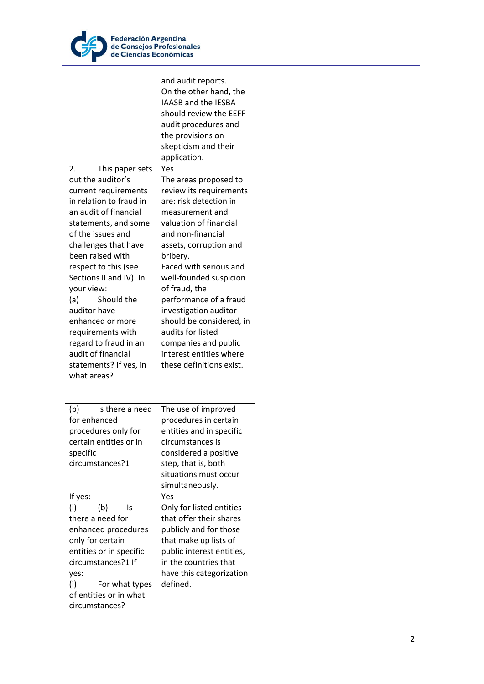

| This paper sets<br>2.<br>out the auditor's<br>current requirements<br>in relation to fraud in<br>an audit of financial<br>statements, and some<br>of the issues and<br>challenges that have<br>been raised with<br>respect to this (see<br>Sections II and IV). In<br>your view:<br>Should the<br>(a)<br>auditor have<br>enhanced or more<br>requirements with<br>regard to fraud in an<br>audit of financial<br>statements? If yes, in | and audit reports.<br>On the other hand, the<br>IAASB and the IESBA<br>should review the EEFF<br>audit procedures and<br>the provisions on<br>skepticism and their<br>application.<br>Yes<br>The areas proposed to<br>review its requirements<br>are: risk detection in<br>measurement and<br>valuation of financial<br>and non-financial<br>assets, corruption and<br>bribery.<br>Faced with serious and<br>well-founded suspicion<br>of fraud, the<br>performance of a fraud<br>investigation auditor<br>should be considered, in<br>audits for listed<br>companies and public<br>interest entities where<br>these definitions exist. |
|-----------------------------------------------------------------------------------------------------------------------------------------------------------------------------------------------------------------------------------------------------------------------------------------------------------------------------------------------------------------------------------------------------------------------------------------|-----------------------------------------------------------------------------------------------------------------------------------------------------------------------------------------------------------------------------------------------------------------------------------------------------------------------------------------------------------------------------------------------------------------------------------------------------------------------------------------------------------------------------------------------------------------------------------------------------------------------------------------|
| what areas?<br>Is there a need<br>(b)<br>for enhanced<br>procedures only for<br>certain entities or in<br>specific<br>circumstances?1                                                                                                                                                                                                                                                                                                   | The use of improved<br>procedures in certain<br>entities and in specific<br>circumstances is<br>considered a positive<br>step, that is, both<br>situations must occur<br>simultaneously.                                                                                                                                                                                                                                                                                                                                                                                                                                                |
| If yes:<br>(i)<br>(b)<br>Is<br>there a need for<br>enhanced procedures<br>only for certain<br>entities or in specific<br>circumstances?1 If<br>yes:<br>(i)<br>For what types<br>of entities or in what<br>circumstances?                                                                                                                                                                                                                | Yes<br>Only for listed entities<br>that offer their shares<br>publicly and for those<br>that make up lists of<br>public interest entities,<br>in the countries that<br>have this categorization<br>defined.                                                                                                                                                                                                                                                                                                                                                                                                                             |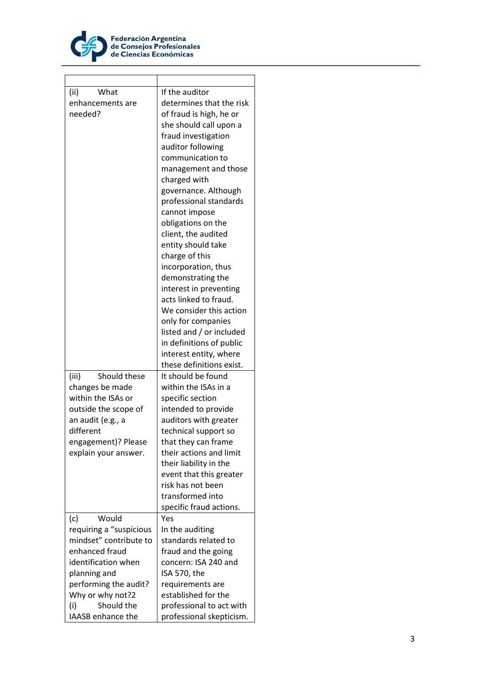

**r** 

| (ii)<br>What             | If the auditor                       |
|--------------------------|--------------------------------------|
| enhancements are         | determines that the risk             |
| needed?                  | of fraud is high, he or              |
|                          | she should call upon a               |
|                          | fraud investigation                  |
|                          | auditor following                    |
|                          | communication to                     |
|                          |                                      |
|                          | management and those<br>charged with |
|                          | governance. Although                 |
|                          |                                      |
|                          | professional standards               |
|                          | cannot impose                        |
|                          | obligations on the                   |
|                          | client, the audited                  |
|                          | entity should take                   |
|                          | charge of this                       |
|                          | incorporation, thus                  |
|                          | demonstrating the                    |
|                          | interest in preventing               |
|                          | acts linked to fraud.                |
|                          | We consider this action              |
|                          | only for companies                   |
|                          | listed and / or included             |
|                          | in definitions of public             |
|                          | interest entity, where               |
|                          | these definitions exist.             |
| Should these<br>(iii)    | It should be found                   |
| changes be made          | within the ISAs in a                 |
| within the ISAs or       | specific section                     |
| outside the scope of     | intended to provide                  |
| an audit (e.g., a        | auditors with greater                |
| different                | technical support so                 |
| engagement)? Please      | that they can frame                  |
| explain your answer.     | their actions and limit              |
|                          | their liability in the               |
|                          | event that this greater              |
|                          | risk has not been                    |
|                          | transformed into                     |
|                          | specific fraud actions.              |
| Would<br>(c)             | Yes                                  |
| requiring a "suspicious  | In the auditing                      |
| mindset" contribute to   | standards related to                 |
| enhanced fraud           | fraud and the going                  |
| identification when      | concern: ISA 240 and                 |
| planning and             | ISA 570, the                         |
| performing the audit?    | requirements are                     |
| Why or why not?2         | established for the                  |
| Should the<br>(i)        | professional to act with             |
| <b>IAASB</b> enhance the | professional skepticism.             |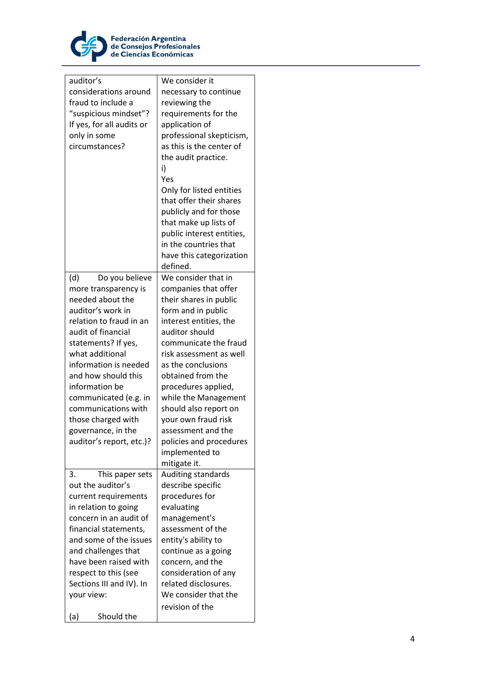

| auditor's                 | We consider it            |
|---------------------------|---------------------------|
| considerations around     | necessary to continue     |
| fraud to include a        | reviewing the             |
| "suspicious mindset"?     | requirements for the      |
| If yes, for all audits or | application of            |
| only in some              | professional skepticism,  |
| circumstances?            | as this is the center of  |
|                           | the audit practice.       |
|                           | i)                        |
|                           | Yes                       |
|                           |                           |
|                           | Only for listed entities  |
|                           | that offer their shares   |
|                           | publicly and for those    |
|                           | that make up lists of     |
|                           | public interest entities, |
|                           | in the countries that     |
|                           | have this categorization  |
|                           | defined.                  |
| Do you believe<br>(d)     | We consider that in       |
| more transparency is      | companies that offer      |
| needed about the          | their shares in public    |
| auditor's work in         | form and in public        |
| relation to fraud in an   | interest entities, the    |
| audit of financial        | auditor should            |
| statements? If yes,       | communicate the fraud     |
| what additional           | risk assessment as well   |
| information is needed     | as the conclusions        |
| and how should this       | obtained from the         |
| information be            | procedures applied,       |
| communicated (e.g. in     | while the Management      |
| communications with       | should also report on     |
| those charged with        | your own fraud risk       |
| governance, in the        | assessment and the        |
| auditor's report, etc.)?  | policies and procedures   |
|                           |                           |
|                           | implemented to            |
|                           | mitigate it.              |
| 3.<br>This paper sets     | Auditing standards        |
| out the auditor's         | describe specific         |
| current requirements      | procedures for            |
| in relation to going      | evaluating                |
| concern in an audit of    | management's              |
| financial statements,     | assessment of the         |
| and some of the issues    | entity's ability to       |
| and challenges that       | continue as a going       |
| have been raised with     | concern, and the          |
| respect to this (see      | consideration of any      |
| Sections III and IV). In  | related disclosures.      |
| your view:                | We consider that the      |
|                           | revision of the           |
| Should the<br>(a)         |                           |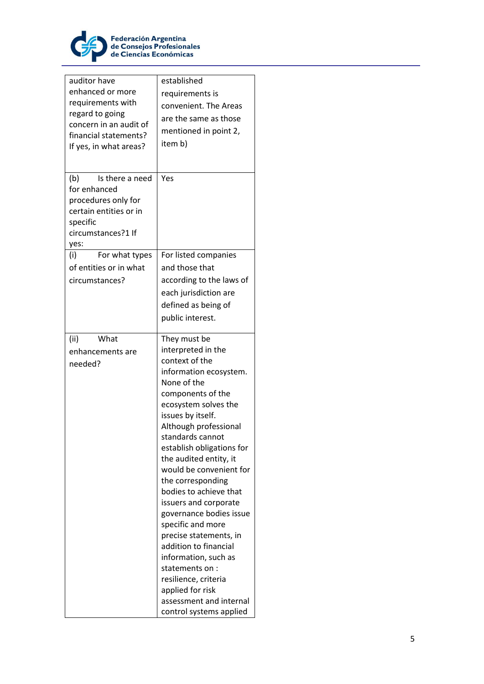

| auditor have<br>enhanced or more<br>requirements with<br>regard to going<br>concern in an audit of<br>financial statements?<br>If yes, in what areas? | established<br>requirements is<br>convenient. The Areas<br>are the same as those<br>mentioned in point 2,<br>item b)                                                                                                                                                                                                                                                                                                                                                                                                                                                                                                  |
|-------------------------------------------------------------------------------------------------------------------------------------------------------|-----------------------------------------------------------------------------------------------------------------------------------------------------------------------------------------------------------------------------------------------------------------------------------------------------------------------------------------------------------------------------------------------------------------------------------------------------------------------------------------------------------------------------------------------------------------------------------------------------------------------|
| (b)<br>Is there a need<br>for enhanced<br>procedures only for<br>certain entities or in<br>specific<br>circumstances?1 If<br>yes:                     | Yes                                                                                                                                                                                                                                                                                                                                                                                                                                                                                                                                                                                                                   |
| For what types<br>(i)<br>of entities or in what<br>circumstances?                                                                                     | For listed companies<br>and those that<br>according to the laws of<br>each jurisdiction are<br>defined as being of<br>public interest.                                                                                                                                                                                                                                                                                                                                                                                                                                                                                |
| (ii)<br>What<br>enhancements are<br>needed?                                                                                                           | They must be<br>interpreted in the<br>context of the<br>information ecosystem.<br>None of the<br>components of the<br>ecosystem solves the<br>issues by itself.<br>Although professional<br>standards cannot<br>establish obligations for<br>the audited entity, it<br>would be convenient for<br>the corresponding<br>bodies to achieve that<br>issuers and corporate<br>governance bodies issue<br>specific and more<br>precise statements, in<br>addition to financial<br>information, such as<br>statements on:<br>resilience, criteria<br>applied for risk<br>assessment and internal<br>control systems applied |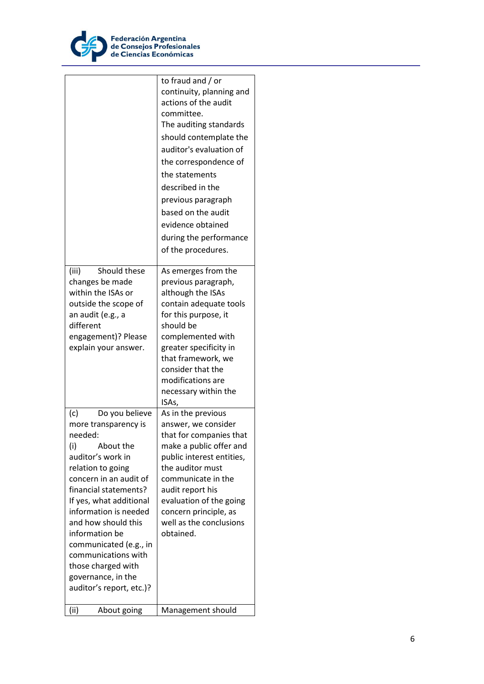

|                                                                                                                                                                                                                                                                                                                                                                                                 | to fraud and / or<br>continuity, planning and<br>actions of the audit<br>committee.<br>The auditing standards<br>should contemplate the<br>auditor's evaluation of<br>the correspondence of<br>the statements<br>described in the<br>previous paragraph<br>based on the audit<br>evidence obtained<br>during the performance<br>of the procedures. |
|-------------------------------------------------------------------------------------------------------------------------------------------------------------------------------------------------------------------------------------------------------------------------------------------------------------------------------------------------------------------------------------------------|----------------------------------------------------------------------------------------------------------------------------------------------------------------------------------------------------------------------------------------------------------------------------------------------------------------------------------------------------|
| Should these<br>(iii)<br>changes be made<br>within the ISAs or<br>outside the scope of<br>an audit (e.g., a<br>different<br>engagement)? Please<br>explain your answer.                                                                                                                                                                                                                         | As emerges from the<br>previous paragraph,<br>although the ISAs<br>contain adequate tools<br>for this purpose, it<br>should be<br>complemented with<br>greater specificity in<br>that framework, we<br>consider that the<br>modifications are<br>necessary within the<br>ISAs,                                                                     |
| (c)<br>Do you believe<br>more transparency is<br>needed:<br>(i)<br>About the<br>auditor's work in<br>relation to going<br>concern in an audit of<br>financial statements?<br>If yes, what additional<br>information is needed<br>and how should this<br>information be<br>communicated (e.g., in<br>communications with<br>those charged with<br>governance, in the<br>auditor's report, etc.)? | As in the previous<br>answer, we consider<br>that for companies that<br>make a public offer and<br>public interest entities,<br>the auditor must<br>communicate in the<br>audit report his<br>evaluation of the going<br>concern principle, as<br>well as the conclusions<br>obtained.                                                             |
| (ii)<br>About going                                                                                                                                                                                                                                                                                                                                                                             | Management should                                                                                                                                                                                                                                                                                                                                  |